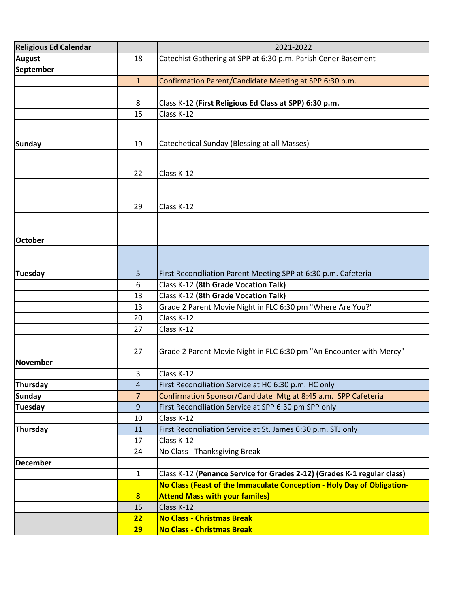| <b>Religious Ed Calendar</b> |                | 2021-2022                                                               |
|------------------------------|----------------|-------------------------------------------------------------------------|
| <b>August</b>                | 18             | Catechist Gathering at SPP at 6:30 p.m. Parish Cener Basement           |
| September                    |                |                                                                         |
|                              | $\mathbf{1}$   | Confirmation Parent/Candidate Meeting at SPP 6:30 p.m.                  |
|                              |                |                                                                         |
|                              | 8              | Class K-12 (First Religious Ed Class at SPP) 6:30 p.m.                  |
|                              | 15             | Class K-12                                                              |
|                              |                |                                                                         |
|                              |                |                                                                         |
| Sunday                       | 19             | Catechetical Sunday (Blessing at all Masses)                            |
|                              |                |                                                                         |
|                              | 22             | Class K-12                                                              |
|                              |                |                                                                         |
|                              |                |                                                                         |
|                              | 29             | Class K-12                                                              |
|                              |                |                                                                         |
|                              |                |                                                                         |
| <b>October</b>               |                |                                                                         |
|                              |                |                                                                         |
|                              |                |                                                                         |
| <b>Tuesday</b>               | 5              | First Reconciliation Parent Meeting SPP at 6:30 p.m. Cafeteria          |
|                              | 6              | Class K-12 (8th Grade Vocation Talk)                                    |
|                              | 13             | Class K-12 (8th Grade Vocation Talk)                                    |
|                              | 13             | Grade 2 Parent Movie Night in FLC 6:30 pm "Where Are You?"              |
|                              | 20             | Class K-12                                                              |
|                              | 27             | Class K-12                                                              |
|                              |                |                                                                         |
|                              | 27             | Grade 2 Parent Movie Night in FLC 6:30 pm "An Encounter with Mercy"     |
| November                     |                |                                                                         |
|                              | 3              | Class K-12                                                              |
| Thursday                     | 4              | First Reconciliation Service at HC 6:30 p.m. HC only                    |
| <b>Sunday</b>                | $\overline{7}$ | Confirmation Sponsor/Candidate Mtg at 8:45 a.m. SPP Cafeteria           |
| Tuesday                      | 9              | First Reconciliation Service at SPP 6:30 pm SPP only                    |
|                              | 10             | Class K-12                                                              |
| Thursday                     | 11             | First Reconciliation Service at St. James 6:30 p.m. STJ only            |
|                              | 17             | Class K-12                                                              |
|                              | 24             | No Class - Thanksgiving Break                                           |
| <b>December</b>              |                |                                                                         |
|                              | $\mathbf{1}$   | Class K-12 (Penance Service for Grades 2-12) (Grades K-1 regular class) |
|                              |                | No Class (Feast of the Immaculate Conception - Holy Day of Obligation-  |
|                              | 8              | <b>Attend Mass with your familes)</b>                                   |
|                              | 15             | Class K-12                                                              |
|                              | 22             | <b>No Class - Christmas Break</b>                                       |
|                              | <b>29</b>      | <b>No Class - Christmas Break</b>                                       |